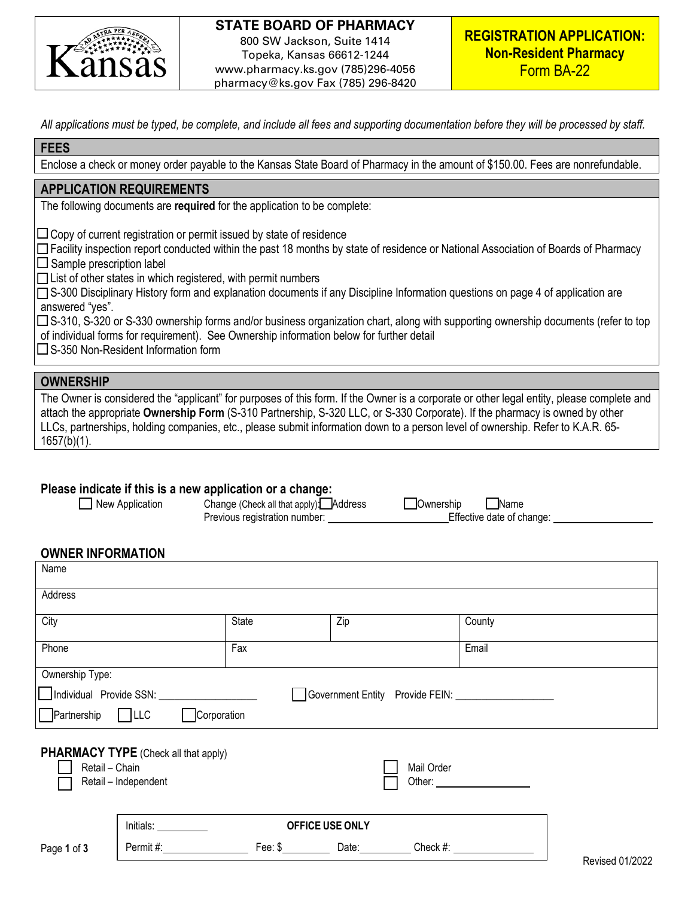

# **STATE BOARD OF PHARMACY** 800 SW Jackson, Suite 1414 Topeka, Kansas 66612-1244

www.pharmacy.ks.gov (785)296-4056 pharmacy@ks.gov Fax (785) 296-8420

*All applications must be typed, be complete, and include all fees and supporting documentation before they will be processed by staff.* 

#### **FEES**

Enclose a check or money order payable to the Kansas State Board of Pharmacy in the amount of \$150.00. Fees are nonrefundable.

### **APPLICATION REQUIREMENTS**

The following documents are **required** for the application to be complete:

 $\Box$  Copy of current registration or permit issued by state of residence

□ Facility inspection report conducted within the past 18 months by state of residence or National Association of Boards of Pharmacy  $\square$  Sample prescription label

 $\Box$  List of other states in which registered, with permit numbers

□S-300 Disciplinary History form and explanation documents if any Discipline Information questions on page 4 of application are answered "yes".

□S-310, S-320 or S-330 ownership forms and/or business organization chart, along with supporting ownership documents (refer to top of individual forms for requirement). See Ownership information below for further detail

 $\square$  S-350 Non-Resident Information form

### **OWNERSHIP**

The Owner is considered the "applicant" for purposes of this form. If the Owner is a corporate or other legal entity, please complete and attach the appropriate **Ownership Form** (S-310 Partnership, S-320 LLC, or S-330 Corporate). If the pharmacy is owned by other LLCs, partnerships, holding companies, etc., please submit information down to a person level of ownership. Refer to K.A.R. 65- 1657(b)(1).

## **Please indicate if this is a new application or a change:**

| New Application | Change (Che   |
|-----------------|---------------|
|                 | Danislava saa |

eck all that apply): Address Ownership Ownership Ownership<br>istration number: Change: Effective date of change: Previous registration number:

### **OWNER INFORMATION**

| Name                                         |                                                                     |              |                                                                                   |            |                                                       |                 |
|----------------------------------------------|---------------------------------------------------------------------|--------------|-----------------------------------------------------------------------------------|------------|-------------------------------------------------------|-----------------|
| Address                                      |                                                                     |              |                                                                                   |            |                                                       |                 |
| City                                         |                                                                     | <b>State</b> | Zip                                                                               |            | County                                                |                 |
| Phone                                        |                                                                     | Fax          |                                                                                   |            | Email                                                 |                 |
| Ownership Type:                              |                                                                     |              |                                                                                   |            |                                                       |                 |
|                                              |                                                                     |              |                                                                                   |            | Government Entity Provide FEIN: _____________________ |                 |
| $\Box$ Partnership $\Box$ LLC<br>Corporation |                                                                     |              |                                                                                   |            |                                                       |                 |
| Retail - Chain                               | <b>PHARMACY TYPE</b> (Check all that apply)<br>Retail - Independent |              |                                                                                   | Mail Order |                                                       |                 |
|                                              |                                                                     |              | <b>OFFICE USE ONLY</b>                                                            |            |                                                       |                 |
| Page 1 of 3                                  | Permit #:                                                           |              | Fee: \$ ______________Date: ____________Check #: ________________________________ |            |                                                       | Ravisad 01/2022 |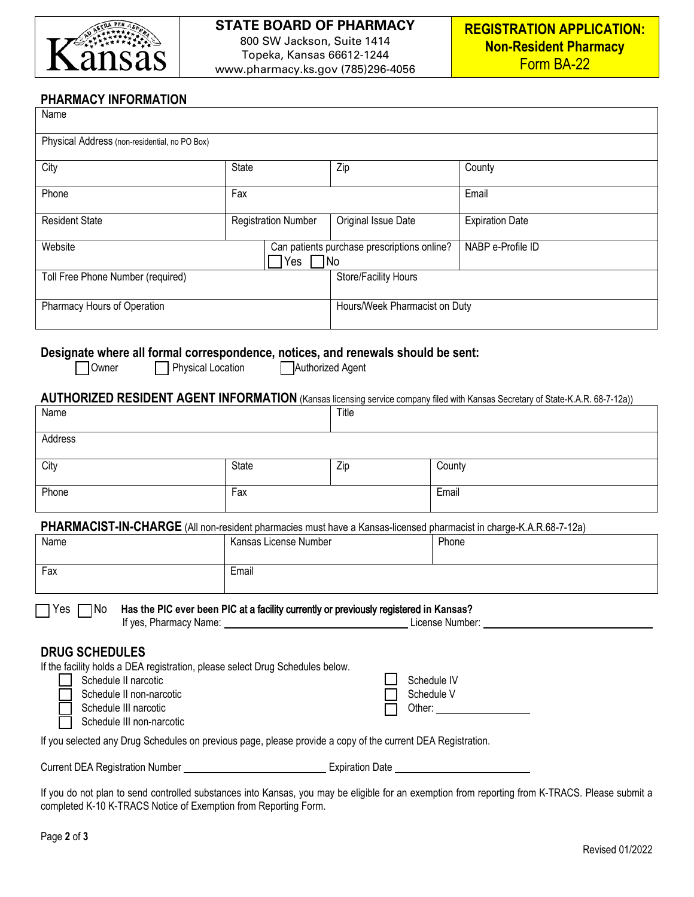

### **STATE BOARD OF PHARMACY** 800 SW Jackson, Suite 1414 Topeka, Kansas 66612-1244

www.pharmacy.ks.gov (785)296-4056

# **PHARMACY INFORMATION**

| Name                                                                                                                                                                                                                                                                                                                                                                                                                                                                 |                                                          |                      |                                                                                                                                |  |  |
|----------------------------------------------------------------------------------------------------------------------------------------------------------------------------------------------------------------------------------------------------------------------------------------------------------------------------------------------------------------------------------------------------------------------------------------------------------------------|----------------------------------------------------------|----------------------|--------------------------------------------------------------------------------------------------------------------------------|--|--|
| Physical Address (non-residential, no PO Box)                                                                                                                                                                                                                                                                                                                                                                                                                        |                                                          |                      |                                                                                                                                |  |  |
| City                                                                                                                                                                                                                                                                                                                                                                                                                                                                 | State                                                    | Zip                  | County                                                                                                                         |  |  |
| Phone                                                                                                                                                                                                                                                                                                                                                                                                                                                                | Fax                                                      |                      | Email                                                                                                                          |  |  |
| <b>Resident State</b>                                                                                                                                                                                                                                                                                                                                                                                                                                                | <b>Registration Number</b>                               | Original Issue Date  | <b>Expiration Date</b>                                                                                                         |  |  |
| Website                                                                                                                                                                                                                                                                                                                                                                                                                                                              | Can patients purchase prescriptions online?<br>Yes<br>No |                      | NABP e-Profile ID                                                                                                              |  |  |
| Toll Free Phone Number (required)                                                                                                                                                                                                                                                                                                                                                                                                                                    |                                                          | Store/Facility Hours |                                                                                                                                |  |  |
| Pharmacy Hours of Operation                                                                                                                                                                                                                                                                                                                                                                                                                                          |                                                          |                      | Hours/Week Pharmacist on Duty                                                                                                  |  |  |
| Designate where all formal correspondence, notices, and renewals should be sent:<br>Physical Location<br>Authorized Agent<br>Owner                                                                                                                                                                                                                                                                                                                                   |                                                          |                      |                                                                                                                                |  |  |
| Name                                                                                                                                                                                                                                                                                                                                                                                                                                                                 |                                                          | Title                | AUTHORIZED RESIDENT AGENT INFORMATION (Kansas licensing service company filed with Kansas Secretary of State-K.A.R. 68-7-12a)) |  |  |
| Address                                                                                                                                                                                                                                                                                                                                                                                                                                                              |                                                          |                      |                                                                                                                                |  |  |
|                                                                                                                                                                                                                                                                                                                                                                                                                                                                      |                                                          |                      |                                                                                                                                |  |  |
| City                                                                                                                                                                                                                                                                                                                                                                                                                                                                 | <b>State</b>                                             | Zip                  | County                                                                                                                         |  |  |
| Phone                                                                                                                                                                                                                                                                                                                                                                                                                                                                | Fax                                                      |                      | Email                                                                                                                          |  |  |
| PHARMACIST-IN-CHARGE (All non-resident pharmacies must have a Kansas-licensed pharmacist in charge-K.A.R.68-7-12a)                                                                                                                                                                                                                                                                                                                                                   |                                                          |                      |                                                                                                                                |  |  |
| Name                                                                                                                                                                                                                                                                                                                                                                                                                                                                 | Kansas License Number                                    |                      | Phone                                                                                                                          |  |  |
| Fax                                                                                                                                                                                                                                                                                                                                                                                                                                                                  | Email                                                    |                      |                                                                                                                                |  |  |
| □ Yes □ No Has the PIC ever been PIC at a facility currently or previously registered in Kansas?<br>If yes, Pharmacy Name: 1990 Mame: 2008 Municipal Discover 2012 May 2013 License Number: 2008 Municipal Discover<br><b>DRUG SCHEDULES</b><br>If the facility holds a DEA registration, please select Drug Schedules below.<br>Schedule IV<br>Schedule II narcotic<br>Schedule V<br>Schedule II non-narcotic<br>Schedule III narcotic<br>Schedule III non-narcotic |                                                          |                      |                                                                                                                                |  |  |
| If you selected any Drug Schedules on previous page, please provide a copy of the current DEA Registration.                                                                                                                                                                                                                                                                                                                                                          |                                                          |                      |                                                                                                                                |  |  |
|                                                                                                                                                                                                                                                                                                                                                                                                                                                                      |                                                          |                      |                                                                                                                                |  |  |

If you do not plan to send controlled substances into Kansas, you may be eligible for an exemption from reporting from K-TRACS. Please submit a completed K-10 K-TRACS Notice of Exemption from Reporting Form.